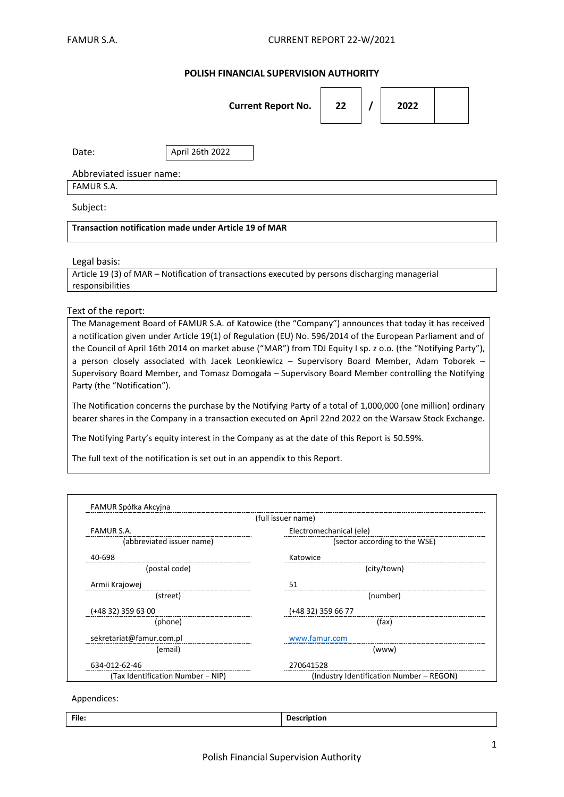## **POLISH FINANCIAL SUPERVISION AUTHORITY**

|                                                              | <b>Current Report No.</b> | 22 |  | 2022 |  |  |
|--------------------------------------------------------------|---------------------------|----|--|------|--|--|
| Date:                                                        | April 26th 2022           |    |  |      |  |  |
| Abbreviated issuer name:                                     |                           |    |  |      |  |  |
| FAMUR S.A.                                                   |                           |    |  |      |  |  |
| Subject:                                                     |                           |    |  |      |  |  |
| <b>Transaction notification made under Article 19 of MAR</b> |                           |    |  |      |  |  |

### Legal basis:

Article 19 (3) of MAR – Notification of transactions executed by persons discharging managerial responsibilities

### Text of the report:

The Management Board of FAMUR S.A. of Katowice (the "Company") announces that today it has received a notification given under Article 19(1) of Regulation (EU) No. 596/2014 of the European Parliament and of the Council of April 16th 2014 on market abuse ("MAR") from TDJ Equity I sp. z o.o. (the "Notifying Party"), a person closely associated with Jacek Leonkiewicz – Supervisory Board Member, Adam Toborek – Supervisory Board Member, and Tomasz Domogała – Supervisory Board Member controlling the Notifying Party (the "Notification").

The Notification concerns the purchase by the Notifying Party of a total of 1,000,000 (one million) ordinary bearer shares in the Company in a transaction executed on April 22nd 2022 on the Warsaw Stock Exchange.

The Notifying Party's equity interest in the Company as at the date of this Report is 50.59%.

The full text of the notification is set out in an appendix to this Report.

| (full issuer name)                |                                          |  |  |  |
|-----------------------------------|------------------------------------------|--|--|--|
| <b>FAMUR S.A.</b>                 | Electromechanical (ele)                  |  |  |  |
| (abbreviated issuer name)         | (sector according to the WSE)            |  |  |  |
| 40-698                            | Katowice                                 |  |  |  |
| (postal code)                     | (city/town)                              |  |  |  |
| Armii Krajowej                    | 51                                       |  |  |  |
| (street)                          | (number)                                 |  |  |  |
| $(+4832)$ 359 63 00               | (+48 32) 359 66 77                       |  |  |  |
| (phone)                           | (fax)                                    |  |  |  |
| sekretariat@famur.com.pl          | www.famur.com                            |  |  |  |
| (email)                           | (www)                                    |  |  |  |
| 634-012-62-46                     | 270641528                                |  |  |  |
| (Tax Identification Number - NIP) | (Industry Identification Number – REGON) |  |  |  |

### Appendices:

| File |  |
|------|--|
|      |  |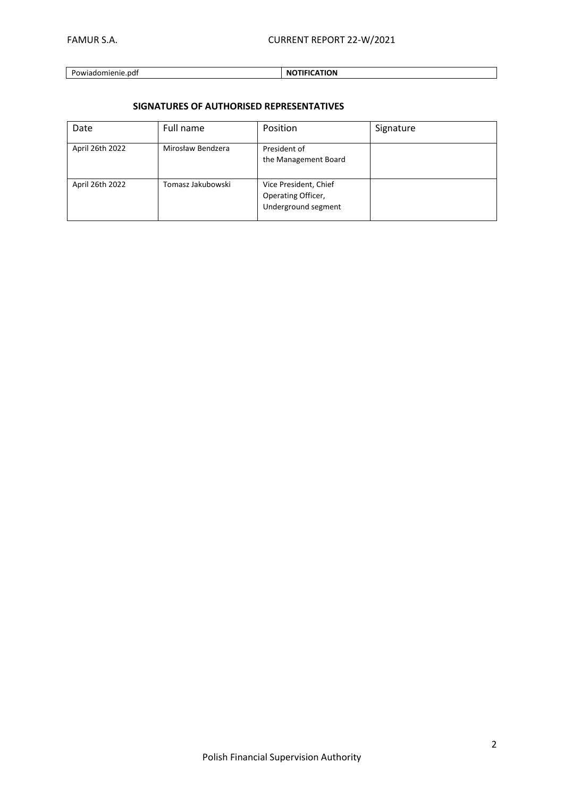FAMUR S.A. CURRENT REPORT 22-W/2021

## Powiadomienie.pdf **NOTIFICATION**

# **SIGNATURES OF AUTHORISED REPRESENTATIVES**

| Date            | Full name         | Position                                                           | Signature |
|-----------------|-------------------|--------------------------------------------------------------------|-----------|
| April 26th 2022 | Mirosław Bendzera | President of<br>the Management Board                               |           |
| April 26th 2022 | Tomasz Jakubowski | Vice President, Chief<br>Operating Officer,<br>Underground segment |           |